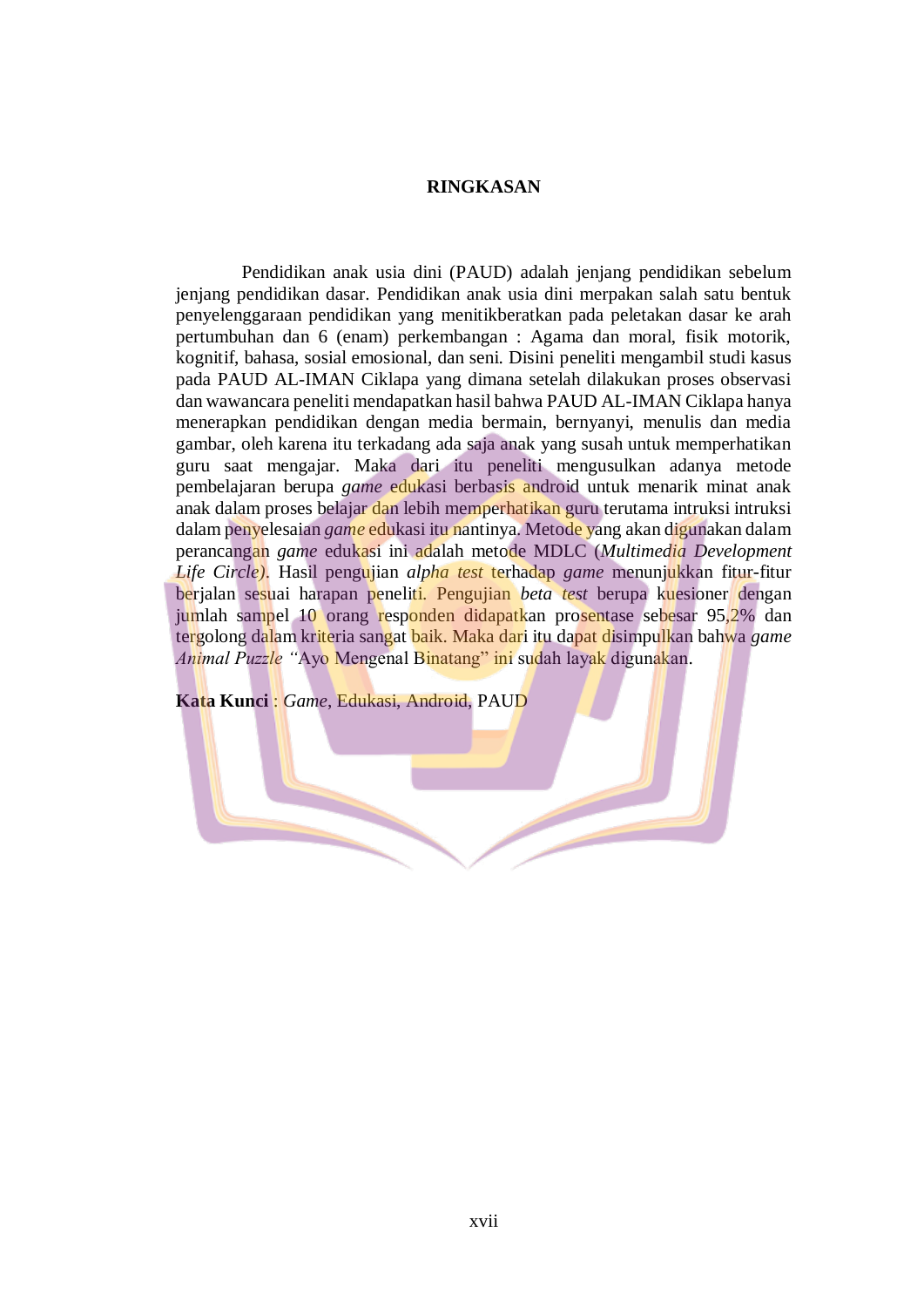## **RINGKASAN**

Pendidikan anak usia dini (PAUD) adalah jenjang pendidikan sebelum jenjang pendidikan dasar. Pendidikan anak usia dini merpakan salah satu bentuk penyelenggaraan pendidikan yang menitikberatkan pada peletakan dasar ke arah pertumbuhan dan 6 (enam) perkembangan : Agama dan moral, fisik motorik, kognitif, bahasa, sosial emosional, dan seni. Disini peneliti mengambil studi kasus pada PAUD AL-IMAN Ciklapa yang dimana setelah dilakukan proses observasi dan wawancara peneliti mendapatkan hasil bahwa PAUD AL-IMAN Ciklapa hanya menerapkan pendidikan dengan media bermain, bernyanyi, menulis dan media gambar, oleh karena itu terkadang ada saja anak yang susah untuk memperhatikan guru saat mengajar. Maka dari itu peneliti mengusulkan adanya metode pembelajaran berupa *game* edukasi berbasis android untuk menarik minat anak anak dalam proses belajar dan lebih memperhatikan guru terutama intruksi intruksi dalam penyelesaian *game* edukasi itu nantinya. Metode yang akan digunakan dalam perancangan *game* edukasi ini adalah metode MDLC (*Multimedia Development Life Circle)*. Hasil pengujian *alpha test* terhadap *game* menunjukkan fitur-fitur berjalan sesuai harapan peneliti. Pengujian *beta test* berupa kuesioner dengan jumlah sampel 10 orang responden didapatkan prosentase sebesar 95,2% dan tergolong dalam kriteria sangat baik. Maka dari itu dapat disimpulkan bahwa *game Animal Puzzle "*Ayo Mengenal Binatang" ini sudah layak digunakan.

**Kata Kunci** : *Game*, Edukasi, Android, PAUD